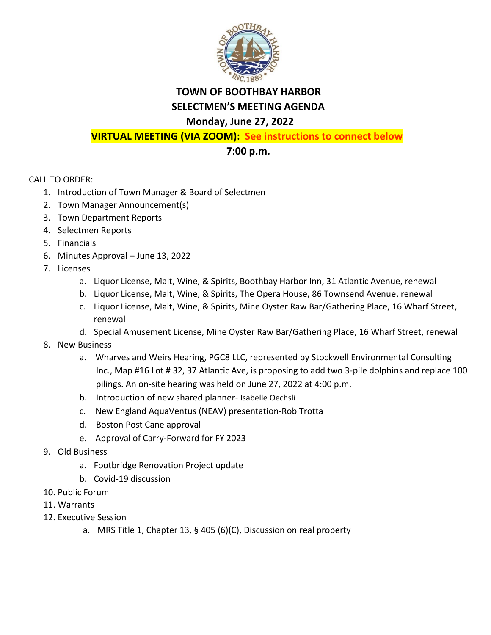

## **TOWN OF BOOTHBAY HARBOR SELECTMEN'S MEETING AGENDA**

## **Monday, June 27, 2022**

**VIRTUAL MEETING (VIA ZOOM): See instructions to connect below**

## **7:00 p.m.**

CALL TO ORDER:

- 1. Introduction of Town Manager & Board of Selectmen
- 2. Town Manager Announcement(s)
- 3. Town Department Reports
- 4. Selectmen Reports
- 5. Financials
- 6. Minutes Approval June 13, 2022
- 7. Licenses
	- a. Liquor License, Malt, Wine, & Spirits, Boothbay Harbor Inn, 31 Atlantic Avenue, renewal
	- b. Liquor License, Malt, Wine, & Spirits, The Opera House, 86 Townsend Avenue, renewal
	- c. Liquor License, Malt, Wine, & Spirits, Mine Oyster Raw Bar/Gathering Place, 16 Wharf Street, renewal
	- d. Special Amusement License, Mine Oyster Raw Bar/Gathering Place, 16 Wharf Street, renewal
- 8. New Business
	- a. Wharves and Weirs Hearing, PGC8 LLC, represented by Stockwell Environmental Consulting Inc., Map #16 Lot # 32, 37 Atlantic Ave, is proposing to add two 3-pile dolphins and replace 100 pilings. An on-site hearing was held on June 27, 2022 at 4:00 p.m.
	- b. Introduction of new shared planner- Isabelle Oechsli
	- c. New England AquaVentus (NEAV) presentation-Rob Trotta
	- d. Boston Post Cane approval
	- e. Approval of Carry-Forward for FY 2023
- 9. Old Business
	- a. Footbridge Renovation Project update
	- b. Covid-19 discussion
- 10. Public Forum
- 11. Warrants
- 12. Executive Session
	- a. MRS Title 1, Chapter 13, § 405 (6)(C), Discussion on real property